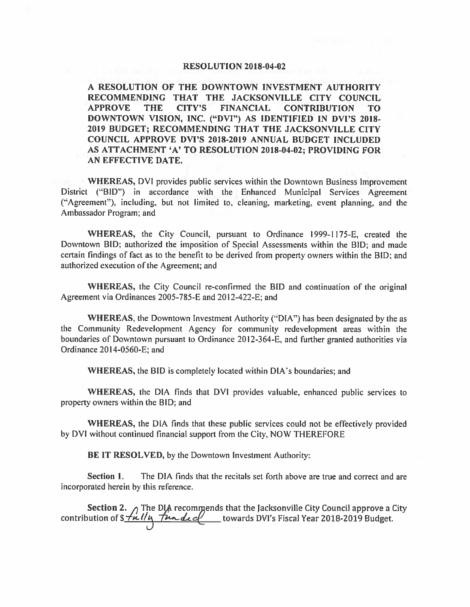#### **RESOLUTION 2018-04-02**

A RESOLUTION OF THE DOWNTOWN INVESTMENT AUTHORITY RECOMMENDING THAT THE JACKSONVILLE CITY COUNCIL **APPROVE THE CITY'S FINANCIAL CONTRIBUTION TO** DOWNTOWN VISION, INC. ("DVI") AS IDENTIFIED IN DVI'S 2018-2019 BUDGET; RECOMMENDING THAT THE JACKSONVILLE CITY COUNCIL APPROVE DVI'S 2018-2019 ANNUAL BUDGET INCLUDED AS ATTACHMENT 'A' TO RESOLUTION 2018-04-02; PROVIDING FOR AN EFFECTIVE DATE.

WHEREAS, DVI provides public services within the Downtown Business Improvement District ("BID") in accordance with the Enhanced Municipal Services Agreement ("Agreement"), including, but not limited to, cleaning, marketing, event planning, and the Ambassador Program; and

WHEREAS, the City Council, pursuant to Ordinance 1999-1175-E, created the Downtown BID; authorized the imposition of Special Assessments within the BID; and made certain findings of fact as to the benefit to be derived from property owners within the BID; and authorized execution of the Agreement; and

WHEREAS, the City Council re-confirmed the BID and continuation of the original Agreement via Ordinances 2005-785-E and 2012-422-E; and

WHEREAS, the Downtown Investment Authority ("DIA") has been designated by the as the Community Redevelopment Agency for community redevelopment areas within the boundaries of Downtown pursuant to Ordinance 2012-364-E, and further granted authorities via Ordinance 2014-0560-E; and

WHEREAS, the BID is completely located within DIA's boundaries; and

WHEREAS, the DIA finds that DVI provides valuable, enhanced public services to property owners within the BID; and

WHEREAS, the DIA finds that these public services could not be effectively provided by DVI without continued financial support from the City, NOW THEREFORE

BE IT RESOLVED, by the Downtown Investment Authority:

The DIA finds that the recitals set forth above are true and correct and are Section 1. incorporated herein by this reference.

**Section 2.** The DIA recommends that the Jacksonville City Council approve a City contribution of  $\frac{\sqrt{u} - \mu}{2}$  The deel towards DVI's Fiscal Year 2018-2019 Budget.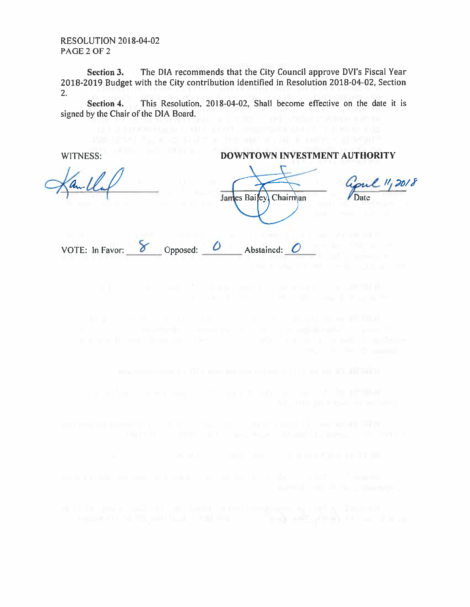**RESOLUTION 2018-04-02** PAGE 2 OF 2

The DIA recommends that the City Council approve DVI's Fiscal Year Section 3. 2018-2019 Budget with the City contribution identified in Resolution 2018-04-02, Section  $2.$ 

Section 4. This Resolution, 2018-04-02. Shall become effective on the date it is signed by the Chair of the DIA Board.

WITNESS:

### DOWNTOWN INVESTMENT AUTHORITY

VOTE: In Favor:  $8$ 

James Bailey Chairman Date Opposed: 0 Abstained:  $O$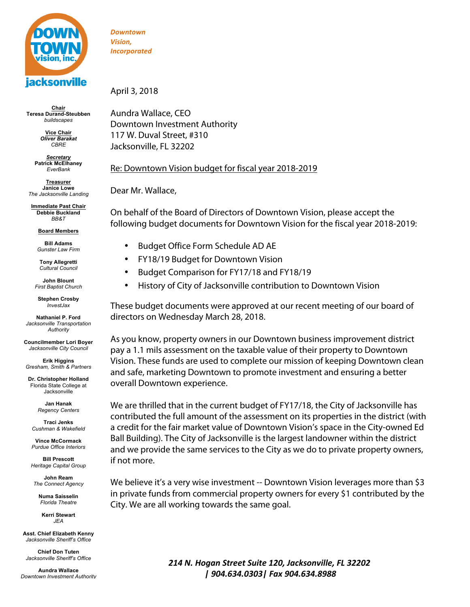

**Chair Teresa Durand-Steubben** *buildscapes*

> **Vice Chair** *Oliver Barakat CBRE*

*Secretary* **Patrick McElhaney** *EverBank*

**Treasurer Janice Lowe** *The Jacksonville Landing*

**Immediate Past Chair Debbie Buckland** *BB&T*

**Board Members**

**Bill Adams** *Gunster Law Firm*

**Tony Allegretti** *Cultural Council* 

**John Blount** *First Baptist Church*

**Stephen Crosby** *InvestJax*

**Nathaniel P. Ford** *Jacksonville Transportation Authority*

**Councilmember Lori Boyer** *Jacksonville City Council*

**Erik Higgins** *Gresham, Smith & Partners*

**Dr. Christopher Holland** Florida State College at Jacksonville

> **Jan Hanak** *Regency Centers*

**Traci Jenks** *Cushman & Wakefield*

**Vince McCormack** *Purdue Office Interiors*

**Bill Prescott** *Heritage Capital Group*

**John Ream** *The Connect Agency*

**Numa Saisselin** *Florida Theatre*

**Kerri Stewart** *JEA*

**Asst. Chief Elizabeth Kenny** *Jacksonville Sheriff's Office*

**Chief Don Tuten** *Jacksonville Sheriff's Office*

**Aundra Wallace** *Downtown Investment Authority*

*Downtown Vision, Incorporated*

April 3, 2018

Aundra Wallace, CEO Downtown Investment Authority 117 W. Duval Street, #310 Jacksonville, FL 32202

### Re: Downtown Vision budget for fiscal year 2018-2019

Dear Mr. Wallace,

On behalf of the Board of Directors of Downtown Vision, please accept the following budget documents for Downtown Vision for the fiscal year 2018-2019:

- Budget Office Form Schedule AD AE
- FY18/19 Budget for Downtown Vision
- Budget Comparison for FY17/18 and FY18/19
- History of City of Jacksonville contribution to Downtown Vision

These budget documents were approved at our recent meeting of our board of directors on Wednesday March 28, 2018.

As you know, property owners in our Downtown business improvement district pay a 1.1 mils assessment on the taxable value of their property to Downtown Vision. These funds are used to complete our mission of keeping Downtown clean and safe, marketing Downtown to promote investment and ensuring a better overall Downtown experience.

We are thrilled that in the current budget of FY17/18, the City of Jacksonville has contributed the full amount of the assessment on its properties in the district (with a credit for the fair market value of Downtown Vision's space in the City-owned Ed Ball Building). The City of Jacksonville is the largest landowner within the district and we provide the same services to the City as we do to private property owners, if not more.

We believe it's a very wise investment -- Downtown Vision leverages more than \$3 in private funds from commercial property owners for every \$1 contributed by the City. We are all working towards the same goal.

> *214 N. Hogan Street Suite 120, Jacksonville, FL 32202 | 904.634.0303| Fax 904.634.8988*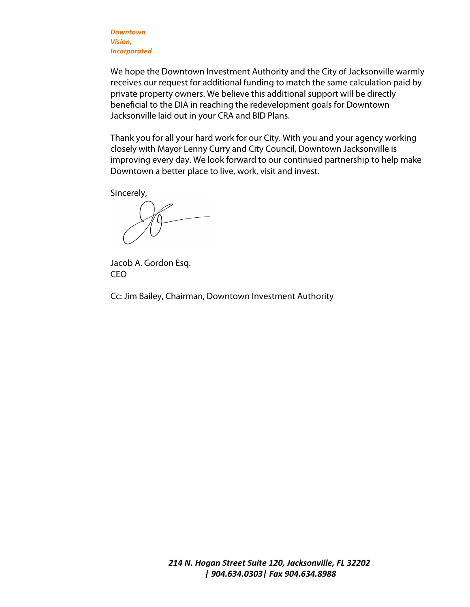*Downtown Vision, Incorporated*

We hope the Downtown Investment Authority and the City of Jacksonville warmly receives our request for additional funding to match the same calculation paid by private property owners. We believe this additional support will be directly beneficial to the DIA in reaching the redevelopment goals for Downtown Jacksonville laid out in your CRA and BID Plans.

Thank you for all your hard work for our City. With you and your agency working closely with Mayor Lenny Curry and City Council, Downtown Jacksonville is improving every day. We look forward to our continued partnership to help make Downtown a better place to live, work, visit and invest.

Sincerely,

Jacob A. Gordon Esq. CEO

Cc: Jim Bailey, Chairman, Downtown Investment Authority

*214 N. Hogan Street Suite 120, Jacksonville, FL 32202 | 904.634.0303| Fax 904.634.8988*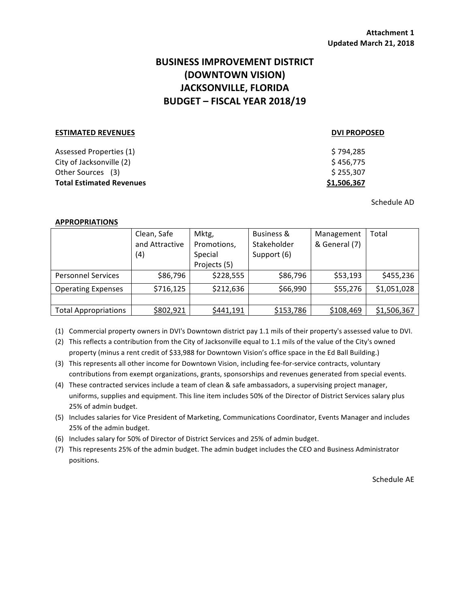### **BUSINESS IMPROVEMENT DISTRICT (DOWNTOWN VISION) JACKSONVILLE, FLORIDA BUDGET – FISCAL YEAR 2018/19**

## **ESTIMATED REVENUES DVI PROPOSED** Assessed Properties (1) **Assessed Properties (1) Assessed Properties (1)**  $\text{City of Jacksonville (2)} \quad \text{S } 456,775$ Other Sources (3)  $\text{S } 255,307$ **Total Estimated Revenues** *<b>S1,506,367*

Schedule AD

### **APPROPRIATIONS**

|                             | Clean, Safe    | Mktg,        | Business &  | Management    | Total       |
|-----------------------------|----------------|--------------|-------------|---------------|-------------|
|                             | and Attractive | Promotions,  | Stakeholder | & General (7) |             |
|                             | (4)            | Special      | Support (6) |               |             |
|                             |                | Projects (5) |             |               |             |
| <b>Personnel Services</b>   | \$86,796       | \$228,555    | \$86,796    | \$53,193      | \$455,236   |
| <b>Operating Expenses</b>   | \$716,125      | \$212,636    | \$66,990    | \$55,276      | \$1,051,028 |
|                             |                |              |             |               |             |
| <b>Total Appropriations</b> | \$802,921      | \$441,191    | \$153,786   | \$108,469     | \$1,506,367 |

(1) Commercial property owners in DVI's Downtown district pay 1.1 mils of their property's assessed value to DVI.

(2) This reflects a contribution from the City of Jacksonville equal to 1.1 mils of the value of the City's owned property (minus a rent credit of \$33,988 for Downtown Vision's office space in the Ed Ball Building.)

(3) This represents all other income for Downtown Vision, including fee-for-service contracts, voluntary contributions from exempt organizations, grants, sponsorships and revenues generated from special events.

(4) These contracted services include a team of clean & safe ambassadors, a supervising project manager, uniforms, supplies and equipment. This line item includes 50% of the Director of District Services salary plus 25% of admin budget.

(5) Includes salaries for Vice President of Marketing, Communications Coordinator, Events Manager and includes 25% of the admin budget.

(6) Includes salary for 50% of Director of District Services and 25% of admin budget.

(7) This represents 25% of the admin budget. The admin budget includes the CEO and Business Administrator positions.

Schedule AE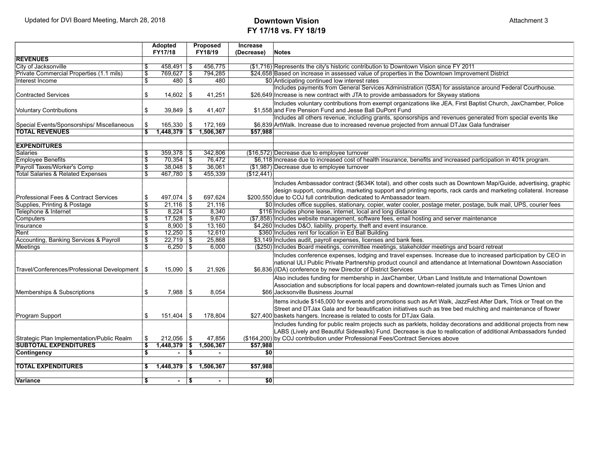# **FY 17/18 vs. FY 18/19**

|                                                  | <b>Adopted</b><br>FY17/18 |                | Proposed<br>Increase<br>FY18/19<br>(Decrease) |                |            | <b>Notes</b>                                                                                                         |  |  |
|--------------------------------------------------|---------------------------|----------------|-----------------------------------------------|----------------|------------|----------------------------------------------------------------------------------------------------------------------|--|--|
| <b>REVENUES</b>                                  |                           |                |                                               |                |            |                                                                                                                      |  |  |
| City of Jacksonville                             | S                         | $458,491$ \\$  |                                               | 456,775        |            | (\$1,716) Represents the city's historic contribution to Downtown Vision since FY 2011                               |  |  |
| Private Commercial Properties (1.1 mils)         | $\overline{\mathcal{S}}$  | 769,627 \$     |                                               | 794,285        |            | \$24,658 Based on increase in assessed value of properties in the Downtown Improvement District                      |  |  |
| Interest Income                                  | $\overline{\mathfrak{s}}$ | $480$ \$       |                                               | 480            |            | \$0 Anticipating continued low interest rates                                                                        |  |  |
|                                                  |                           |                |                                               |                |            | Includes payments from General Services Administration (GSA) for assistance around Federal Courthouse.               |  |  |
| <b>Contracted Services</b>                       | \$                        | 14,602         | - \$                                          | 41,251         |            | \$26,649 Increase is new contract with JTA to provide ambassadors for Skyway stations                                |  |  |
|                                                  |                           |                |                                               |                |            | Includes voluntary contributions from exempt organizations like JEA, First Baptist Church, JaxChamber, Police        |  |  |
| Voluntary Contributions                          | \$                        | $39,849$ \\$   |                                               | 41,407         |            | \$1,558 and Fire Pension Fund and Jesse Ball DuPont Fund                                                             |  |  |
|                                                  |                           |                |                                               |                |            | Includes all others revenue, including grants, sponsorships and revenues generated from special events like          |  |  |
| Special Events/Sponsorships/ Miscellaneous       | \$                        | $165,330$ \\$  |                                               | 172,169        |            | \$6,839 ArtWalk. Increase due to increased revenue projected from annual DTJax Gala fundraiser                       |  |  |
| <b>TOTAL REVENUES</b>                            | $\overline{\mathbf{s}}$   | $1,448,379$ \$ |                                               | 1,506,367      | \$57,988   |                                                                                                                      |  |  |
|                                                  |                           |                |                                               |                |            |                                                                                                                      |  |  |
| <b>EXPENDITURES</b>                              |                           |                |                                               |                |            |                                                                                                                      |  |  |
| <b>Salaries</b>                                  | S                         | $359,378$ \$   |                                               | 342.806        |            | (\$16,572) Decrease due to employee turnover                                                                         |  |  |
| <b>Employee Benefits</b>                         | s,                        | $70,354$ \\$   |                                               | 76.472         |            | \$6,118 Increase due to increased cost of health insurance, benefits and increased participation in 401k program.    |  |  |
| Payroll Taxes/Worker's Comp                      | $\overline{\mathcal{F}}$  | $38,048$ \ \$  |                                               | 36,061         |            | (\$1,987) Decrease due to employee turnover                                                                          |  |  |
| <b>Total Salaries &amp; Related Expenses</b>     | s,                        | $467,780$ \$   |                                               | 455,339        | (\$12,441) |                                                                                                                      |  |  |
|                                                  |                           |                |                                               |                |            | Includes Ambassador contract (\$634K total), and other costs such as Downtown Map/Guide, advertising, graphic        |  |  |
|                                                  |                           |                |                                               |                |            | design support, consulting, marketing support and printing reports, rack cards and marketing collateral. Increase    |  |  |
| Professional Fees & Contract Services            | \$                        | $497,074$ \\$  |                                               | 697.624        |            | \$200,550 due to COJ full contribution dedicated to Ambassador team.                                                 |  |  |
| Supplies, Printing & Postage                     | $\overline{\mathbf{s}}$   | $21,116$ \ \$  |                                               | 21,116         |            | \$0 Includes office supplies, stationary, copier, water cooler, postage meter, postage, bulk mail, UPS, courier fees |  |  |
| Telephone & Internet                             | $\overline{\$}$           | $8,224$ \ \$   |                                               | 8,340          |            | \$116 Includes phone lease, internet, local and long distance                                                        |  |  |
| <b>Computers</b>                                 | $\overline{\mathcal{S}}$  | $17,528$ \\$   |                                               | 9,670          |            | (\$7,858) Includes website management, software fees, email hosting and server maintenance                           |  |  |
| Insurance                                        | S                         | $8,900$ \ \$   |                                               | 13,160         |            | \$4,260 Includes D&O, liability, property, theft and event insurance.                                                |  |  |
| Rent                                             | $\overline{\mathcal{S}}$  | $12,250$ \$    |                                               | 12,610         |            | \$360 Includes rent for location in Ed Ball Building                                                                 |  |  |
| Accounting, Banking Services & Payroll           | $\overline{\mathcal{E}}$  | $22.719$ \\$   |                                               | 25,868         |            | \$3,149 Includes audit, payroll expenses, licenses and bank fees.                                                    |  |  |
| Meetings                                         | $\overline{\mathbb{S}}$   | $6.250$ \ \$   |                                               | 6.000          |            | (\$250) Includes Board meetings, committee meetings, stakeholder meetings and board retreat                          |  |  |
|                                                  |                           |                |                                               |                |            | Includes conference expenses, lodging and travel expenses. Increase due to increased participation by CEO in         |  |  |
|                                                  |                           |                |                                               |                |            | national ULI Public Private Partnership product council and attendance at International Downtown Association         |  |  |
| Travel/Conferences/Professional Development   \$ |                           | 15,090         | \$                                            | 21,926         |            | \$6,836 (IDA) conference by new Director of District Services                                                        |  |  |
|                                                  |                           |                |                                               |                |            | Also includes funding for membership in JaxChamber, Urban Land Institute and International Downtown                  |  |  |
|                                                  |                           |                |                                               |                |            | Association and subscriptions for local papers and downtown-related journals such as Times Union and                 |  |  |
| Memberships & Subscriptions                      | \$                        | 7,988          | \$                                            | 8.054          |            | \$66 Jacksonville Business Journal                                                                                   |  |  |
|                                                  |                           |                |                                               |                |            |                                                                                                                      |  |  |
|                                                  |                           |                |                                               |                |            | Items include \$145,000 for events and promotions such as Art Walk, JazzFest After Dark, Trick or Treat on the       |  |  |
|                                                  |                           |                |                                               |                |            | Street and DTJax Gala and for beautification initiatives such as tree bed mulching and maintenance of flower         |  |  |
| Program Support                                  | \$                        | 151,404        | \$                                            | 178.804        |            | \$27,400 baskets hangers. Increase is related to costs for DTJax Gala.                                               |  |  |
|                                                  |                           |                |                                               |                |            | Includes funding for public realm projects such as parklets, holiday decorations and additional projects from new    |  |  |
|                                                  |                           |                |                                               |                |            | LABS (Lively and Beautiful Sidewalks) Fund. Decrease is due to reallocation of additional Ambassadors funded         |  |  |
| Strategic Plan Implementation/Public Realm       | \$                        | $212,056$ \\$  |                                               | 47.856         |            | (\$164.200) by COJ contribution under Professional Fees/Contract Services above                                      |  |  |
| <b>SUBTOTAL EXPENDITURES</b>                     | $\overline{\mathbf{s}}$   | $1,448,379$ \$ |                                               | 1,506,367      | \$57,988   |                                                                                                                      |  |  |
| <b>Contingency</b>                               | $\overline{\mathbf{s}}$   | $\sim$         | $\overline{\mathbf{s}}$                       | $\blacksquare$ | \$0        |                                                                                                                      |  |  |
| <b>TOTAL EXPENDITURES</b>                        |                           |                |                                               | 1,506,367      |            |                                                                                                                      |  |  |
|                                                  | \$                        | $1,448,379$ \$ |                                               |                | \$57,988   |                                                                                                                      |  |  |
| Variance                                         | \$                        |                | $\sqrt{5}$                                    | $\blacksquare$ | \$0        |                                                                                                                      |  |  |
|                                                  |                           | $\sim$         |                                               |                |            |                                                                                                                      |  |  |